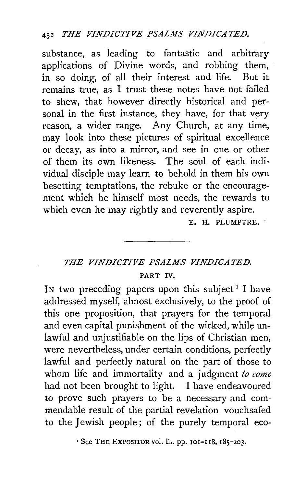substance, as leading to fantastic and arbitrary applications of Divine words, and robbing them, in so doing, of all their interest and life. But it remains true, as I trust these notes have not failed to shew, that however directly historical and personal in the first instance, they have, for that very reason, a wider range. Any Church, at any time, may look into these pictures of spiritual excellence or decay, as into a mirror, and see in one or other of them its own likeness. The soul of each individual disciple may learn to behold in them his own besetting temptations, the rebuke or the encouragement which he himself most needs, the rewards to which even he may rightly and reverently aspire.

E. H. PLUMPTRE.

## *THE VINDICTIVE PSALMS VINDICATED.*  PART IV.

In two preceding papers upon this subject<sup>1</sup> I have addressed myself, almost exclusively, to the proof of this one proposition, that prayers for the temporal and even capital punishment of the wicked, while unlawful and unjustifiable on the lips of Christian men, were nevertheless, under certain conditions, perfectly lawful and perfectly natural on the part of those to whom life and immortality and a judgment *to come*  had not been brought to light. I have endeavoured to prove such prayers to be a necessary and commendable result of the partial revelation vouchsafed to the Jewish people; of the purely temporal eco-

<sup>&</sup>lt;sup>I</sup> See THE EXPOSITOR vol. iii. pp. 101-118, 185-203.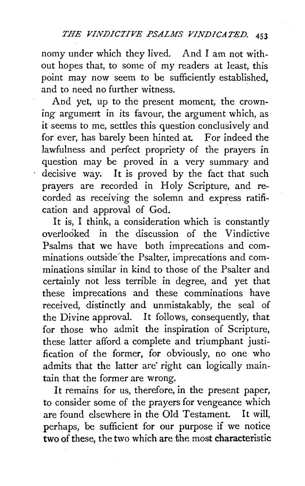nomy under which they lived. And I am not without hopes that, to some of my readers at least, this point may now seem *to* be sufficiently established, and to need no further witness.

And yet, up to the present moment, the crowning argument in its favour, the argument which, as it seems to me, settles this question conclusively and for ever, has barely been hinted at. For indeed the lawfulness and perfect propriety of the prayers in question may be proved in a very summary and decisive way. It is proved by the fact that such prayers are recorded in Holy Scripture, and recorded as receiving the solemn and express ratification and approval of God.

It is, I think, a consideration which is constantly overlooked in the discussion of the Vindictive Psalms that we have both imprecations and comminations outside the Psalter, imprecations and comminations similar in kind to those of the Psalter and certainly not less terrible in degree, and yet that these imprecations and these comminations have received, distinctly and unmistakably, the seal of the Divine approval. It follows, consequently, that for those who admit the inspiration of Scripture, these latter afford a complete and triumphant justification of the former, for obviously, no one who admits that the latter are right can logically maintain that the former are wrong.

It remains for us, therefore, in the present paper, to consider some of the prayers for vengeance which are found elsewhere in the Old Testament. It will, perhaps, be sufficient for our purpose if we notice two of these, the two which are the most characteristic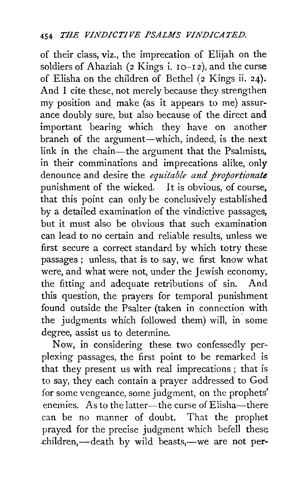of their class, viz., the imprecation of Elijah on the soldiers of Ahaziah ( $2$  Kings i.  $10-12$ ), and the curse of Elisha on the children of Bethel  $(z$  Kings ii. 24). And I cite these, not merely because they strengthen my position and make (as it appears to me) assurance doubly sure, but also because of the direct and important bearing which they have on another branch of the argument-which, indeed, is the next link in the chain—the argument that the Psalmists, in their comminations and imprecations alike, only denounce and desire the *equitable and proportionate*  punishment of the wicked. It is obvious, of course, that this point can only be conclusively established by a detailed examination of the vindictive passages, but it must also be obvious that such examination can lead to no certain and reliable results, unless we first secure a correct standard by which totry these passages; unless, that is to say, we first know what were, and what were not, under the Jewish economy, the fitting and adequate retributions of sin. And this question, the prayers for temporal punishment found outside the Psalter (taken in connection with the judgments which followed them) will, in some degree, assist us to determine.

Now, in considering these two confessedly perplexing passages, the first point to be remarked is that they present us with real imprecations; that is to say, they each contain a prayer addressed to God for some vengeance, some judgment, on the prophets' enemies. As to the latter-the curse of Elisha-there can be no manner of doubt. That the prophet prayed for the precise judgment which befell these .children,-death by wild beasts,--we are not per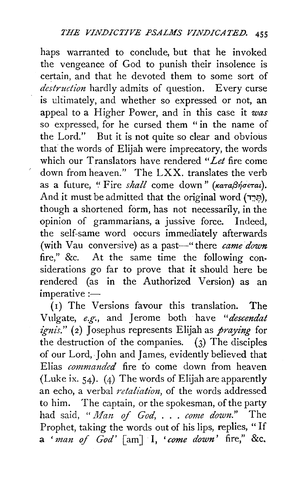haps warranted to conclude, but that he invoked the vengeance of God to punish their insolence is certain, and that he devoted them to some sort of *destruction* hardly admits of question. Every curse is ultimately, and whether so expressed or not, an appeal to a Higher Power, and in this case it *was*  so expressed, for he cursed them "in the name of the Lord." But it is not quite so clear and obvious that the words of Elijah were imprecatory, the words which our Translators have rendered *"Let* fire come down from heaven." The LXX. translates the verb as a future, "Fire *shall* come down" *(KaTaßneTau)*. And it must be admitted that the original word (הָרֵד), though a shortened form, has not necessarily, in the opinion of grammarians, a jussive force. Indeed, the self-same word occurs immediately afterwards (with Vau conversive) as a past—" there *came down* fire," &c. At the same time the following considerations go far to prove that it should here be rendered (as in the Authorized Version) as an  $imperative :=$ 

 $(1)$  The Versions favour this translation. The Vulgate, *e.g.,* and Jerome both have *"descendat ignis."* (2) Josephus represents Elijah as *praying* for the destruction of the companies.  $(3)$  The disciples of our Lord, John and James, evidently believed that Elias *commanded* fire to come down from heaven (Luke ix. 54). (4) The words of Elijah are apparently an echo, a verbal *retaliation*, of the words addressed to him. The captain, or the spokesman, of the party had said, "*Man of God, . . . come down.*" The Prophet, taking the words out of his lips, replies, " If a *'man of God'* [am] I, *'come down'* fire," &c.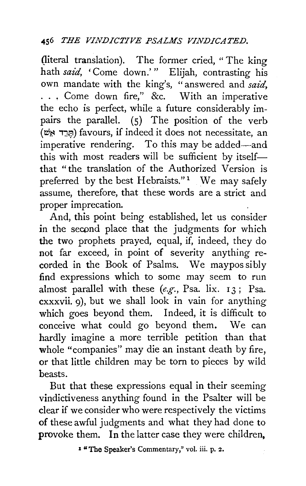(literal translation). The former cried, " The king hath *said*, 'Come down.'" Elijah, contrasting his own mandate with the king's, "answered and *said*, ... Come down fire," &c. With an imperative the echo is perfect, while a future considerably impairs the parallel. (S) The position of the verb (תּרד אֹשׁ) favours, if indeed it does not necessitate, an imperative rendering. To this may be added—and this with most readers will be sufficient by itselfthat "the translation of the Authorized Version is preferred by the best Hebraists."<sup>1</sup> We may safely assume, therefore, that these words are a strict and proper imprecation.

And, this point being established, let us consider in the second place that the judgments for which the two prophets prayed, equal, if, indeed, they do not far exceed, in point of severity anything recorded in the Book of Psalms. We maypos sibly find expressions which to some may seem to run almost parallel with these *(e.g.,* Psa. lix. 13 ; Psa. cxxxvii. 9), but we shall look in vain for anything which goes beyond them. Indeed, it is difficult to conceive what could go beyond them. We can hardly imagine a more terrible petition than that whole "companies" may die an instant death by fire, or that little children may be torn to pieces by wild beasts.

But that these expressions equal in their seeming vindictiveness anything found in the Psalter will be clear if we consider who were respectively the victims of these awful judgments and what they had done to provoke them. In the latter case they were children,

1 "The Speaker's Commentary," vol. iii. p. *z.*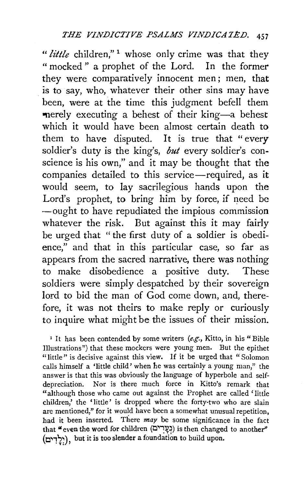*"little* children," <sup>1</sup>whose only crime was that they " mocked" a prophet of the Lord. In the former they were comparatively innocent men; men, that is to say, who, whatever their other sins may have been, were at the time this judgment befell them -nerely executing a behest of their king-a behest which it would have been almost certain death to them to have disputed. It is true that " every soldier's duty is the king's, *but* every soldier's conscience is his own," and it may be thought that the companies detailed to this service-required, as it would seem, to lay sacrilegious hands upon the Lord's prophet, to bring him by force, if need be -ought to have repudiated the impious commission whatever the risk. But against this it may fairly be urged that ''the first duty of a soldier is obedience," and that in this particular case, so far as appears from the sacred narrative, there was nothing to make disobedience a positive duty. These soldiers were simply despatched by their sovereign lord to bid the man of God come down, and, therefore, it was not theirs to make reply or curiously to inquire what might be the issues of their mission.

<sup>1</sup> It has been contended by some writers (e.g., Kitto, in his "Bible" Illustrations") that these mockers were young men. But the epithet "little" is decisive against this view. If it be urged that "Solomon" calls himself a 'little child' when he was certainly a young man," the answer is that this was obviously the language of hyperbole and selfdepreciation. Nor is there much force in Kitto's remark that "although those who came out against the Prophet are called 'Iittie children,' the 'little' is dropped where the forty-two who are slain are mentioned," for it would have been a somewhat unusual repetition, had it been inserted. There  $may$  be some significance in the fact that "even the word for children (בְעֲרִים) is then changed to another" (יֵלֵדִים), but it is too slender a foundation to build upon.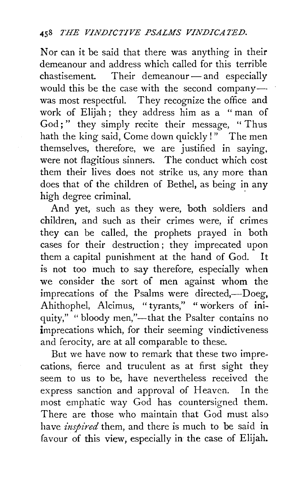Nor can it be said that there was anything in their demeanour and address which called for this terrible chastisement. Their demeanour-and especially would this be the case with the second company-was most respectful. They recognize the office and work of Elijah; they address him as a "man of God;" they simply recite their message, "Thus hath the king said, Come down quickly! " The men themselves, therefore, we are justified in saying, were not flagitious sinners. The conduct which cost them their lives does not strike us, any more than does that of the children of Bethel, as being in any high degree criminal.

And yet, such as they were, both soldiers and children, and such as their crimes were, if crimes they can be called, the prophets prayed in both cases for their destruction; they imprecated upon them a capital punishment at the hand of God. It is not too much to say therefore, especially when we consider the sort of men against whom the imprecations of the Psalms were directed,-Doeg, Ahithophel, Alcimus, "tyrants," " workers of iniquity," "bloody men,"-that the Psalter contains no imprecations which, for their seeming vindictiveness and ferocity, are at all comparable to these.

But we have now to remark that these two imprecations, fierce and truculent as at first sight they seem to us to be, have nevertheless received the express sanction and approval of Heaven. In the most emphatic way God has countersigned them. There are those who maintain that  $G_{0}$  must also have *inspired* them, and there is much to be said in favour of this view, especially in the case of Elijah.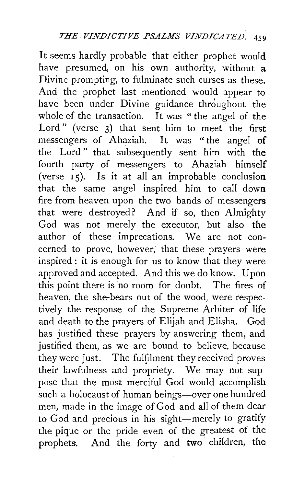It seems hardly probable that either prophet would have presumed, on his own authority, without a Divine prompting, to fulminate such curses as these. And the prophet last mentioned would appear to have been under Divine guidance throughout the whole of the transaction. It was "the angel of the Lord" (verse 3) that sent him to meet the first messengers of Ahaziah. It was "the angel of the Lord " that subsequently sent him with the fourth party of messengers to Ahaziah himself (verse  $\overline{15}$ ). Is it at all an improbable conclusion that the same angel inspired him to call down fire from heaven upon the two bands of messengers that were destroyed? And if so, then Almighty God was not merely the executor, but also the author of these imprecations. We are not concerned to prove, however, that these prayers were inspired : it is enough for us to know that they were approved and accepted. And this we do know. Upon this point there is no room for doubt. The fires of heaven, the she-bears out of the wood, were respectively the response of the Supreme Arbiter of life and death to the prayers of Elijah and Elisha. God has justified these prayers by answering them, and justified them, as we are bound to believe, because they were just. The fulfilment they received proves their lawfulness and propriety. We may not sup pose that the most merciful God would accomplish such a holocaust of human beings-over one hundred men, made in the image of God and all of them dear to God and precious in his sight-merely to gratify the pique or the pride even of the greatest of the prophets. And the forty and two children, the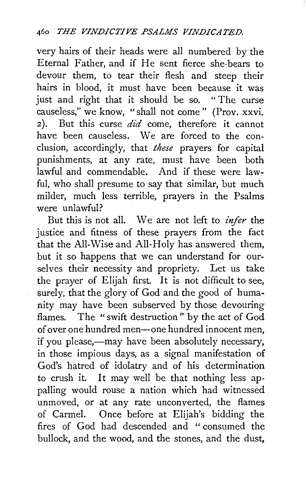very hairs of their heads were all numbered by the Eternal Father, and if He sent fierce she-bears to devour them, to tear their flesh and steep their hairs in blood, it must have been because it was just and right that it should be so. "The curse causeless," we know, "shall not come " (Prov. xxvi. 2). But this curse  $did$  come, therefore it cannot have been causeless. We are forced to the conclusion, accordingly, that *these* prayers for capital punishments, at any rate, must have been both lawful and commendable. And if these were lawful, who shall presume to say that similar, but much milder, much less terrible, prayers in the Psalms were unlawful?

But this is not all. We are not left to *infer* the justice and fitness of these prayers from the fact that the All-Wise and All-Holy has answered them, but it so happens that we can understand for ourselves their necessity and propriety. Let us take the prayer of Elijah first. It is not difficult to see, surely, that the glory of God and the good of humanity may have been subserved by those devouring flames. The "swift destruction " by the act of God of over one hundred men-one hundred innocent men, if you please,—may have been absolutely necessary, in those impious days, as a signal manifestation of God's hatred of idolatry and of his determination to crush it. It may well be that nothing less appalling would rouse a nation which had witnessed unmoved, or at any rate unconverted, the flames of Carmel. Once before at Elijah's bidding the fires of God had descended and " consumed the bullock, and the wood, and the stones, and the dust,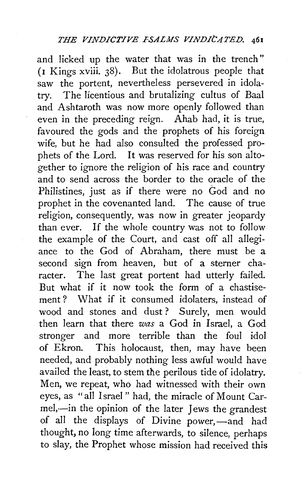and licked up the water that was in the trench" (r Kings xviii. 38). But the idolatrous people that saw the portent, nevertheless persevered in idolatry. The licentious and brutalizing cultus of Baal and Ashtaroth was now more openly followed than even in the preceding reign. Ahab had, it is true, favoured the gods and the prophets of his foreign wife, but he had also consulted the professed prophets of the Lord. It was reserved for his son altogether to ignore the religion of his race and country and to send across the border to the oracle of the Philistines, just as if there were no God and no prophet in the covenanted land. The cause of true religion, consequently, was now in greater jeopardy than ever. If the whole country was not to follow the example of the Court, and cast off all allegiance to the God of Abraham, there must be a second sign from heaven, but of a sterner character. The last great portent had utterly failed. But what if it now took the form of a chastisement *?* What if it consumed idolaters, instead of wood and stones and dust ? Surely, men would then learn that there *was* a God in Israel, a God stronger and more terrible than the foul idol of Ekron. This holocaust, then, may have been needed, and probably nothing less awful would have availed the least, to stem the perilous tide of idolatry. Men, we repeat, who had witnessed with their own eyes, as "all Israel" had, the miracle of Mount Carmel,-in the opinion of the later Jews the grandest of all the displays of Divine power,—and had thought, no long time afterwards, to silence, perhaps to slay, the Prophet whose mission had received this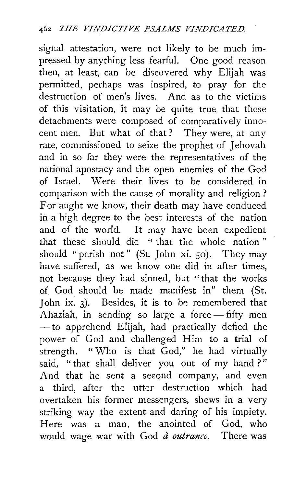signal attestation, were not likely to be much impressed by anything less fearful. One good reason then, at least, can be discovered why Elijah was permitted, perhaps was inspired, to pray for the destruction of men's lives. And as to the victims of this visitation, it may be quite true that these detachments were composed of comparatively innocent men. But what of that? They were, at any rate, commissioned to seize the prophet of Jehovah and in so far they were the representatives of the national apostacy and the open enemies of the God of Israel. Were their lives to be considered in comparison with the cause of morality and religion ? For aught we know, their death may have conduced in a high degree to the best interests of the nation and of the world. It may have been expedient that these should die " that the whole nation " should "perish not" (St. John xi. so). They may have suffered, as we know one did in after times, not because they had sinned, but "that the works of God should be made manifest in" them (St. John ix.  $3$ ). Besides, it is to be remembered that Ahaziah, in sending so large a force  $-$  fifty men - to apprehend Elijah, had practically defied the power of God and challenged Him to a trial of strength. " Who is that God," he had virtually said, "that shall deliver you out of my hand?" And that he sent a second company, and even a third, after the utter destruction which had overtaken his former messengers, shews in a very striking way the extent and daring of his impiety. Here was a man, the anointed of God, who would wage war with God  $\hat{a}$  outrance. There was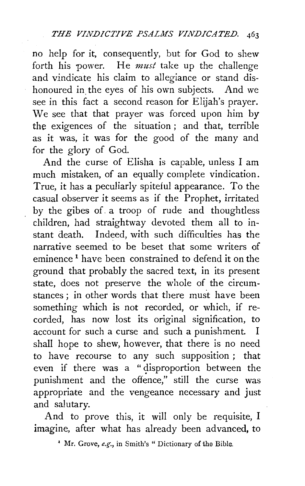no help for it, consequently, but for God to shew forth his power. He *must* take up the challenge and vindicate his claim to allegiance or stand dishonoured in the eyes of his own subjects. And we see in this fact a second reason for Elijah's prayer. We see that that prayer was forced upon him by the exigences of the situation ; and that, terrible as it was, it was for the good of the many and for the glory of God.

And the curse of Elisha is capable, unless I am much mistaken, of an equally complete vindication. True, it has a peculiarly spiteful appearance. To the casual observer it seems as if the Prophet, irritated by the gibes of. a troop of rude and thoughtless children, had straightway devoted them all to instant death. Indeed, with such difficulties has the narrative seemed to be beset that some writers of eminence<sup>1</sup> have been constrained to defend it on the ground that probably the sacred text, in its present state, does not preserve the whole of the circumstances: in other words that there must have been something which is not recorded, or which, if recorded, has now lost its original signification, to account for such a curse and such a punishment. I shall hope to shew, however, that there is no need to have recourse to any such supposition ; that even if there was a "disproportion between the punishment and the offence," still the curse was appropriate and the vengeance necessary and just and salutary.

And to prove this, it will only be requisite, I imagine, after what has already been advanced, to

• Mr. Grove, *e.g-.,* in Smith's " Dictionary of the Bible.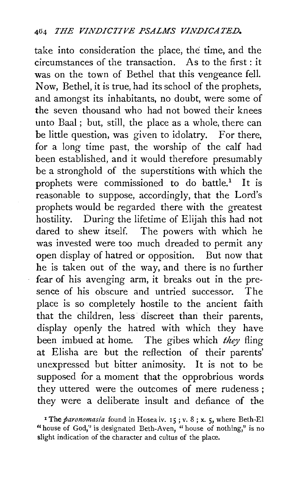take into consideration the place, the time, and the circumstances of the transaction. As to the first : it was on the town of Bethel that this vengeance fell. Now, Bethel, it is true, had its school of the prophets, and amongst its inhabitants, no doubt, were some of the seven thousand who had not bowed their knees unto Baal ; but, still, the place as a whole, there can be little question, was given to idolatry. For there, for a long time past, the worship of the calf had been established, and it would therefore presumably be a stronghold of the superstitions with which the prophets were commissioned to do battle.<sup>1</sup> It is reasonable to suppose, accordingly, that the Lord's prophets would be regarded there with the greatest hostility. During the lifetime of Elijah this had not dared to shew itself. The powers with which he was invested were too much dreaded to permit any open display of hatred or opposition. But now that he is taken out of the way, and there is no further fear of his avenging arm, it breaks out in the presence of his obscure and untried successor. The place is so completely hostile to the ancient faith that the children, less· discreet than their parents, display openly the hatred with which they have been imbued at home. The gibes which *they* fling at Elisha are but the reflection of their parents' unexpressed but bitter animosity. It is not to be supposed for a moment that the opprobrious words they uttered were the outcomes of mere rudeness ; they were a deliberate insult and defiance of the

<sup>&</sup>lt;sup>1</sup> The *paronomasia* found in Hosea iv. 15; v. 8; x. 5, where Beth-El "house of God," is designated Beth-Aven, " house of nothing," is no slight indication of the character and cultus of the place.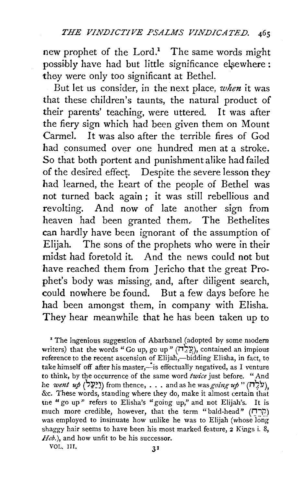new prophet of the  $Lord.1$  The same words might possibly have had but little significance elsewhere: they were only too significant at Bethel.

But let us consider, in the next place, *when* it was that these children's taunts, the natural product of their parents' teaching, were uttered. It was after the fiery sign which had been given them on Mount Carmel. It was also after the terrible fires of God had consumed over one hundred men at a stroke. So that both portent and punishment alike had failed of the desired effect. Despite the severe lesson they had learned, the beart of the people of Bethel was not turned back again ; it was still rebellious and revolting. And now of late another sign from heaven had been granted them.. The Bethelites can hardly have been ignorant of the assumption of Elijah. The sons of the prophets who were in their midst had foretold it. And the news could not but have reached them from Jericho that the great Prophet's body was missing, and, after diligent search, could nowhere be found. But a few days before he had been amongst them, in company with Elisha. They hear meanwhile that he has been taken up to

• The ingenious suggestion of Abarbanel (adopted by some modern writers) that the words "Go up, go up "  $(\overrightarrow{n},\overrightarrow{p})$ , contained an impious reference to the recent ascension of Elijah,—bidding Elisha, in fact, to take himself off after his master,-is effectually negatived, as I venture to think, by the occurrence of the same word *twice* just before. "And he *went up* (<sup>1</sup>[יַעֲל) from thence, . . . and as he was *going up* "  $(i)$ , &c. These words, standing where they do, make it almost certain that tne "go up" refers to Elisha's "going up," and not Elijah's. It is much more credible, however, that the term "bald-head" ("הרח was employed to insinuate how unlike he was to Elijah (whose long shaggy hair seems to have been his most marked feature, 2 Kings i. 8, *Heb.*), and how unfit to be his successor.

VOL. JII, 31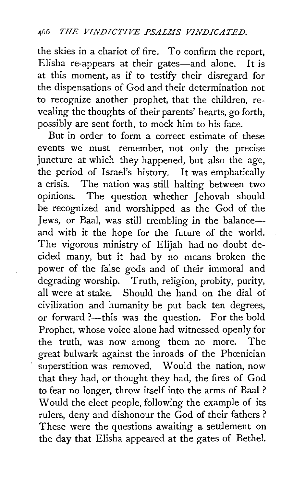the skies in a chariot of fire. To confirm the report, Elisha re-appears at their gates-and alone. It is at this moment, as if to testify their disregard for the dispensations of God and their determination not to recognize another prophet, that the children, revealing the thoughts of their parents' hearts, go forth, possibly are sent forth, to mock him to his face.

But in order to form a correct estimate of these events we must remember, not only the precise juncture at which they happened, but also the age, the period of Israel's history. It was emphatically a crisis. The nation was still halting between two opinions. The question whether Jehovah should be recognized and worshipped as the God of the Jews, or Baal, was still trembling in the balanceand with it the hope for the future of the world. The vigorous ministry of Elijah had no doubt decided many, but it had by no means broken the power of the false gods and of their immoral and degrading worship. Truth, religion, probity, purity, all were at stake. Should the hand on the dial of civilization and humanity be put back ten degrees, or forward ?- this was the question. For the bold Prophet, whose voice alone had witnessed openly for the truth, was now among them no more. The great bulwark against the inroads of the Phœnician superstition was removed. Would the nation, now that they had, or thought they had, the fires of God to fear no longer, throw itself into the arms of Baal ? Would the elect people, following the example of its rulers, deny and dishonour the God of their fathers ? These were the questions awaiting a settlement on the day that Elisha appeared at the gates of Bethel.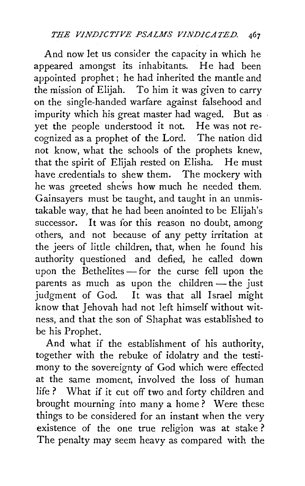And now let us consider the capacity in which he appeared amongst its inhabitants. He had been appointed prophet; he had inherited the mantle and the mission of Elijah. To him it was given to carry on the single-handed warfare against falsehood and impurity which his great master had waged. But as yet the people understood it not. He was not recognized as a prophet of the Lord. The nation did not know, what the schools of the prophets knew, that the spirit of Elijah rested on Elisha. He must have credentials to shew them. The mockery with he was greeted shews how much he needed them. Gainsayers must be taught, and taught in an unmistakable way, that he had been anointed to be Elijah's successor. It was for this reason no doubt, among others, and not because of any petty irritation at the jeers of little children, that, when he found his authority questioned and defied, he called down upon the Bethelites $-$  for the curse fell upon the parents as much as upon the children  $-$  the just judgment of God. It was that all Israel might know that Jehovah had not left himself without witness, and that the son of Shaphat was established to be his Prophet.

And what if the establishment of his authority, together with the rebuke of idolatry and the testimony to the sovereignty of God which were effected at the same moment, involved the loss of human life ? What if it cut off two and forty children and brought mourning into many a home ? Were these things to be considered for an instant when the very existence of the one true religion was at stake? The penalty may seem heavy as compared with the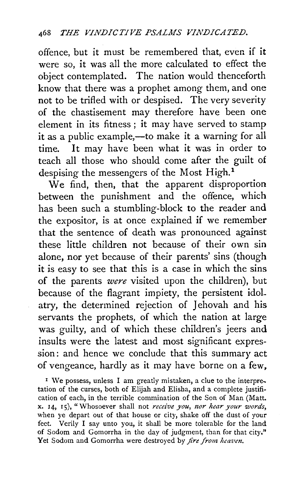offence, but it must be remembered that, even if it were so, it was all the more calculated to effect the object contemplated. The nation would thenceforth know that there was a prophet among them, and one not to be trifled with or despised. The very severity of the chastisement may therefore have been one element in its fitness ; it may have served to stamp it as a public example,—to make it a warning for all time. It may have been what it was in order to teach all those who should come after the guilt of despising the messengers of the Most High.<sup>1</sup>

We find, then, that the apparent disproportion between the punishment and the offence, which has been such a stumbling-block to the reader and the expositor, is at once explained if we remember that the sentence of death was pronounced against these little children not because of their own sin alone, nor yet because of their parents' sins (though it is easy to see that this is a case in which the sins of the parents *were* visited upon the children), but because of the flagrant impiety, the persistent idoL atry, the determined rejection of Jehovah and his servants the prophets, of which the nation at large was guilty, and of which these children's jeers and insults were the latest and most significant expression: and hence we conclude that this summary act of vengeance, hardly as it may have borne on a few,

<sup>1</sup> We possess, unless I am greatly mistaken, a clue to the interpretation of the curses, both of Elijah and Elisha, and a complete justification of each, in the terrible commination of the Son of Man (Matt. x. 14, 15), "Whosoever shall not *receive you, nor hear your words*, when ye depart out of that house or city, shake off the dust of your feet. Verily I say unto you, it shall be more tolerable for the land of Sodom and Gomorrha in the day of judgment, than for that city." Yet Sodom and Gomorrha were destroyed by *fire from heaven*.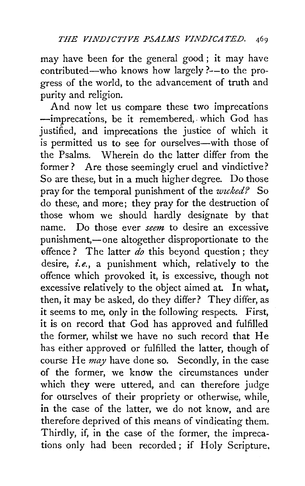may have been for the general good; it may have contributed-who knows how largely ?--to the progress of the world, to the advancement of truth and purity and religion.

And now let us compare these two imprecations -imprecations, be it remembered, which God has justified, and imprecations the justice of which it is permitted us to see for ourselves—with those of the Psalms. Wherein do the latter differ from the former ? Are those seemingly cruel and vindictive? So are these, but in a much higher degree. Do those pray for the temporal punishment of the *wzcked?* So do these, and more; they pray for the destruction of those whom we should hardly designate by that name. Do those ever *seem* to desire an excessive punishment,—one altogether disproportionate to the offence ? The latter  $\overline{do}$  this beyond question; they desire, *i.e.,* a punishment which, relatively to the offence which provoked it, is excessive, though not excessive relatively to the object aimed at. In what, then, it may be asked, do they differ? They differ, as it seems to me, only in the following respects. First, it is on record that God has approved and fulfilled the former, whilst we have no such record that He has either approved or fulfilled the latter, though of course He *may* have done so. Secondly, in the case of the former, we know the circumstances under which they were uttered, and can therefore judge for ourselves of their propriety or otherwise, while, in the case of the latter, we do not know, and are therefore deprived of this means of vindicating them. Thirdly, if, in the case of the former, the imprecations only had been recorded; if Holy Scripture,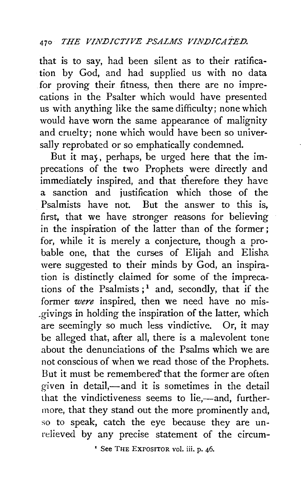## 470 *THE VIN.DICTIVE PSALMS VIN.DICATE.D.*

that is to say, had been silent as to their ratification by God, and had supplied us with no data for proving their fitness, then there are no imprecations in the Psalter which would have presented us with anything like the same difficulty; none which would have worn the same appearance of malignity and cruelty; none which would have been so universally reprobated or so emphatically condemned.

But it may, perhaps, be urged here that the imprecations of the two Prophets were directly and immediately inspired, and that therefore they have a sanction and justification which those of the Psalmists have not. But the answer to this is, first, that we have stronger reasons for believing in the inspiration of the latter than of the former; for, while it is merely a conjecture, though a probable one, that the curses of Elijah and Elisha were suggested to their minds by God, an inspiration is distinctly claimed for some of the imprecations of the Psalmists;<sup>1</sup> and, secondly, that if the former *were* inspired, then we need have no mis- \_givings in holding the inspiration of the latter, which are seemingly so much less vindictive. Or, it may be alleged that, after all, there is a malevolent tone about the denunciations of the Psalms which we are not conscious of when we read those of the Prophets. But it must be remembered" that the former are often given in detail,-and it is sometimes in the detail that the vindictiveness seems to lie,-and, furthermore, that they stand out the more prominently and, so to speak, catch the eye because they are unrelieved by any precise statement of the circum-

' See THE EXPOSITOR vol. iii. p. 46.